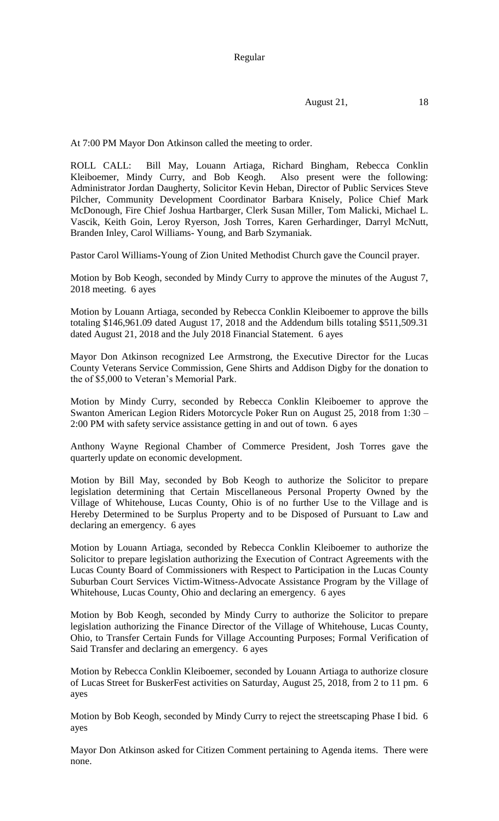Regular

August 21, 18

At 7:00 PM Mayor Don Atkinson called the meeting to order.

ROLL CALL: Bill May, Louann Artiaga, Richard Bingham, Rebecca Conklin Kleiboemer, Mindy Curry, and Bob Keogh. Also present were the following: Administrator Jordan Daugherty, Solicitor Kevin Heban, Director of Public Services Steve Pilcher, Community Development Coordinator Barbara Knisely, Police Chief Mark McDonough, Fire Chief Joshua Hartbarger, Clerk Susan Miller, Tom Malicki, Michael L. Vascik, Keith Goin, Leroy Ryerson, Josh Torres, Karen Gerhardinger, Darryl McNutt, Branden Inley, Carol Williams- Young, and Barb Szymaniak.

Pastor Carol Williams-Young of Zion United Methodist Church gave the Council prayer.

Motion by Bob Keogh, seconded by Mindy Curry to approve the minutes of the August 7, 2018 meeting. 6 ayes

Motion by Louann Artiaga, seconded by Rebecca Conklin Kleiboemer to approve the bills totaling \$146,961.09 dated August 17, 2018 and the Addendum bills totaling \$511,509.31 dated August 21, 2018 and the July 2018 Financial Statement. 6 ayes

Mayor Don Atkinson recognized Lee Armstrong, the Executive Director for the Lucas County Veterans Service Commission, Gene Shirts and Addison Digby for the donation to the of \$5,000 to Veteran's Memorial Park.

Motion by Mindy Curry, seconded by Rebecca Conklin Kleiboemer to approve the Swanton American Legion Riders Motorcycle Poker Run on August 25, 2018 from 1:30 – 2:00 PM with safety service assistance getting in and out of town. 6 ayes

Anthony Wayne Regional Chamber of Commerce President, Josh Torres gave the quarterly update on economic development.

Motion by Bill May, seconded by Bob Keogh to authorize the Solicitor to prepare legislation determining that Certain Miscellaneous Personal Property Owned by the Village of Whitehouse, Lucas County, Ohio is of no further Use to the Village and is Hereby Determined to be Surplus Property and to be Disposed of Pursuant to Law and declaring an emergency. 6 ayes

Motion by Louann Artiaga, seconded by Rebecca Conklin Kleiboemer to authorize the Solicitor to prepare legislation authorizing the Execution of Contract Agreements with the Lucas County Board of Commissioners with Respect to Participation in the Lucas County Suburban Court Services Victim-Witness-Advocate Assistance Program by the Village of Whitehouse, Lucas County, Ohio and declaring an emergency. 6 ayes

Motion by Bob Keogh, seconded by Mindy Curry to authorize the Solicitor to prepare legislation authorizing the Finance Director of the Village of Whitehouse, Lucas County, Ohio, to Transfer Certain Funds for Village Accounting Purposes; Formal Verification of Said Transfer and declaring an emergency. 6 ayes

Motion by Rebecca Conklin Kleiboemer, seconded by Louann Artiaga to authorize closure of Lucas Street for BuskerFest activities on Saturday, August 25, 2018, from 2 to 11 pm. 6 ayes

Motion by Bob Keogh, seconded by Mindy Curry to reject the streetscaping Phase I bid. 6 ayes

Mayor Don Atkinson asked for Citizen Comment pertaining to Agenda items. There were none.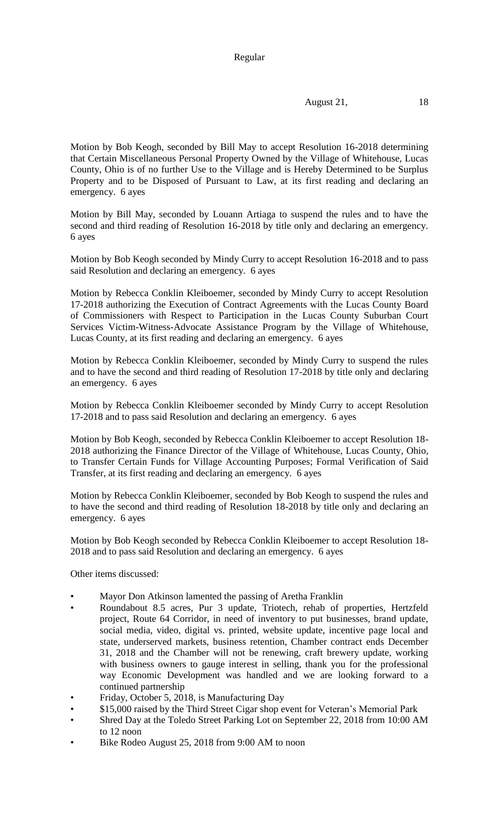## Regular

August 21, 18

Motion by Bob Keogh, seconded by Bill May to accept Resolution 16-2018 determining that Certain Miscellaneous Personal Property Owned by the Village of Whitehouse, Lucas County, Ohio is of no further Use to the Village and is Hereby Determined to be Surplus Property and to be Disposed of Pursuant to Law, at its first reading and declaring an emergency. 6 ayes

Motion by Bill May, seconded by Louann Artiaga to suspend the rules and to have the second and third reading of Resolution 16-2018 by title only and declaring an emergency. 6 ayes

Motion by Bob Keogh seconded by Mindy Curry to accept Resolution 16-2018 and to pass said Resolution and declaring an emergency. 6 ayes

Motion by Rebecca Conklin Kleiboemer, seconded by Mindy Curry to accept Resolution 17-2018 authorizing the Execution of Contract Agreements with the Lucas County Board of Commissioners with Respect to Participation in the Lucas County Suburban Court Services Victim-Witness-Advocate Assistance Program by the Village of Whitehouse, Lucas County, at its first reading and declaring an emergency. 6 ayes

Motion by Rebecca Conklin Kleiboemer, seconded by Mindy Curry to suspend the rules and to have the second and third reading of Resolution 17-2018 by title only and declaring an emergency. 6 ayes

Motion by Rebecca Conklin Kleiboemer seconded by Mindy Curry to accept Resolution 17-2018 and to pass said Resolution and declaring an emergency. 6 ayes

Motion by Bob Keogh, seconded by Rebecca Conklin Kleiboemer to accept Resolution 18- 2018 authorizing the Finance Director of the Village of Whitehouse, Lucas County, Ohio, to Transfer Certain Funds for Village Accounting Purposes; Formal Verification of Said Transfer, at its first reading and declaring an emergency. 6 ayes

Motion by Rebecca Conklin Kleiboemer, seconded by Bob Keogh to suspend the rules and to have the second and third reading of Resolution 18-2018 by title only and declaring an emergency. 6 ayes

Motion by Bob Keogh seconded by Rebecca Conklin Kleiboemer to accept Resolution 18- 2018 and to pass said Resolution and declaring an emergency. 6 ayes

Other items discussed:

- Mayor Don Atkinson lamented the passing of Aretha Franklin
- Roundabout 8.5 acres, Pur 3 update, Triotech, rehab of properties, Hertzfeld project, Route 64 Corridor, in need of inventory to put businesses, brand update, social media, video, digital vs. printed, website update, incentive page local and state, underserved markets, business retention, Chamber contract ends December 31, 2018 and the Chamber will not be renewing, craft brewery update, working with business owners to gauge interest in selling, thank you for the professional way Economic Development was handled and we are looking forward to a continued partnership
- Friday, October 5, 2018, is Manufacturing Day
- \$15,000 raised by the Third Street Cigar shop event for Veteran's Memorial Park
- Shred Day at the Toledo Street Parking Lot on September 22, 2018 from 10:00 AM to 12 noon
- Bike Rodeo August 25, 2018 from 9:00 AM to noon